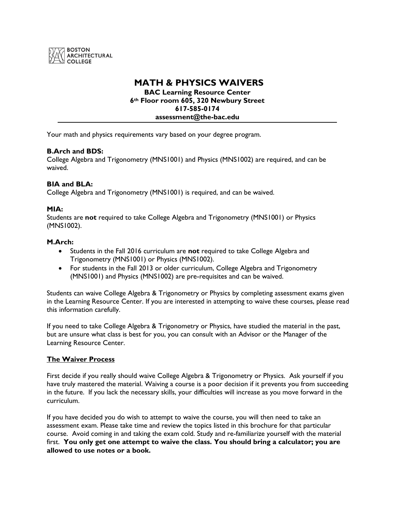

# **MATH & PHYSICS WAIVERS**

**BAC Learning Resource Center 6th Floor room 605, 320 Newbury Street 617-585-0174 assessment@the-bac.edu**

Your math and physics requirements vary based on your degree program.

## **B.Arch and BDS:**

College Algebra and Trigonometry (MNS1001) and Physics (MNS1002) are required, and can be waived.

# **BIA and BLA:**

College Algebra and Trigonometry (MNS1001) is required, and can be waived.

### **MIA:**

Students are **not** required to take College Algebra and Trigonometry (MNS1001) or Physics (MNS1002).

### **M.Arch:**

- Students in the Fall 2016 curriculum are **not** required to take College Algebra and Trigonometry (MNS1001) or Physics (MNS1002).
- For students in the Fall 2013 or older curriculum, College Algebra and Trigonometry (MNS1001) and Physics (MNS1002) are pre-requisites and can be waived.

Students can waive College Algebra & Trigonometry or Physics by completing assessment exams given in the Learning Resource Center. If you are interested in attempting to waive these courses, please read this information carefully.

If you need to take College Algebra & Trigonometry or Physics, have studied the material in the past, but are unsure what class is best for you, you can consult with an Advisor or the Manager of the Learning Resource Center.

### **The Waiver Process**

First decide if you really should waive College Algebra & Trigonometry or Physics. Ask yourself if you have truly mastered the material. Waiving a course is a poor decision if it prevents you from succeeding in the future. If you lack the necessary skills, your difficulties will increase as you move forward in the curriculum.

If you have decided you do wish to attempt to waive the course, you will then need to take an assessment exam. Please take time and review the topics listed in this brochure for that particular course. Avoid coming in and taking the exam cold. Study and re-familiarize yourself with the material first. **You only get one attempt to waive the class. You should bring a calculator; you are allowed to use notes or a book.**